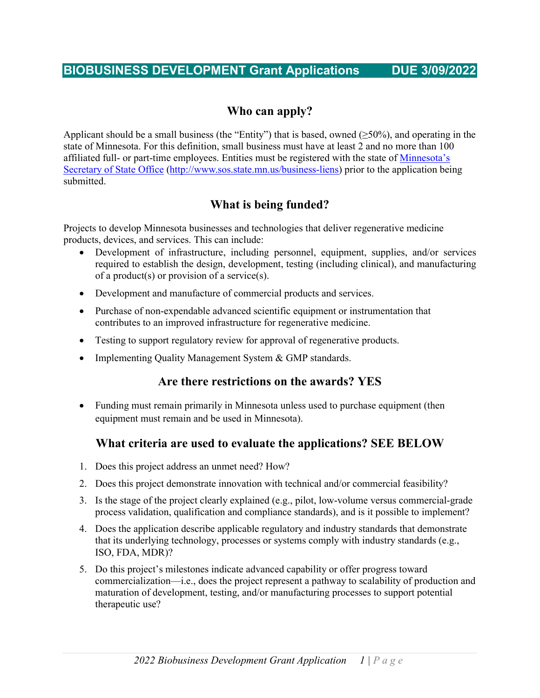## **BIOBUSINESS DEVELOPMENT Grant Applications DUE 3/09/2022**

## **Who can apply?**

Applicant should be a small business (the "Entity") that is based, owned  $(\geq 50\%)$ , and operating in the state of Minnesota. For this definition, small business must have at least 2 and no more than 100 affiliated full- or part-time employees. Entities must be registered with the state of [Minnesota's](http://www.sos.state.mn.us/business-liens/start-a-business/how-to-register-your-business/)  [Secretary of State Office](http://www.sos.state.mn.us/business-liens/start-a-business/how-to-register-your-business/) [\(http://www.sos.state.mn.us/business-liens\)](http://www.sos.state.mn.us/business-liens) prior to the application being submitted.

# **What is being funded?**

Projects to develop Minnesota businesses and technologies that deliver regenerative medicine products, devices, and services. This can include:

- Development of infrastructure, including personnel, equipment, supplies, and/or services required to establish the design, development, testing (including clinical), and manufacturing of a product(s) or provision of a service(s).
- Development and manufacture of commercial products and services.
- Purchase of non-expendable advanced scientific equipment or instrumentation that contributes to an improved infrastructure for regenerative medicine.
- Testing to support regulatory review for approval of regenerative products.
- Implementing Quality Management System & GMP standards.

## **Are there restrictions on the awards? YES**

• Funding must remain primarily in Minnesota unless used to purchase equipment (then equipment must remain and be used in Minnesota).

## **What criteria are used to evaluate the applications? SEE BELOW**

- 1. Does this project address an unmet need? How?
- 2. Does this project demonstrate innovation with technical and/or commercial feasibility?
- 3. Is the stage of the project clearly explained (e.g., pilot, low-volume versus commercial-grade process validation, qualification and compliance standards), and is it possible to implement?
- 4. Does the application describe applicable regulatory and industry standards that demonstrate that its underlying technology, processes or systems comply with industry standards (e.g., ISO, FDA, MDR)?
- 5. Do this project's milestones indicate advanced capability or offer progress toward commercialization—i.e., does the project represent a pathway to scalability of production and maturation of development, testing, and/or manufacturing processes to support potential therapeutic use?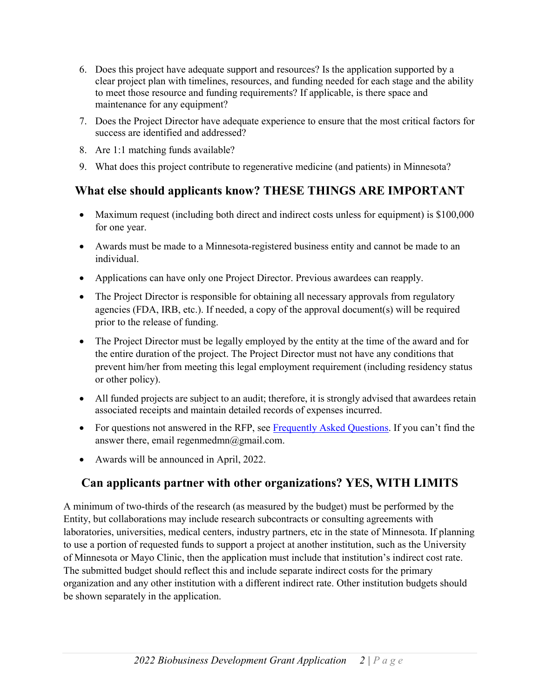- 6. Does this project have adequate support and resources? Is the application supported by a clear project plan with timelines, resources, and funding needed for each stage and the ability to meet those resource and funding requirements? If applicable, is there space and maintenance for any equipment?
- 7. Does the Project Director have adequate experience to ensure that the most critical factors for success are identified and addressed?
- 8. Are 1:1 matching funds available?
- 9. What does this project contribute to regenerative medicine (and patients) in Minnesota?

# **What else should applicants know? THESE THINGS ARE IMPORTANT**

- Maximum request (including both direct and indirect costs unless for equipment) is \$100,000 for one year.
- Awards must be made to a Minnesota-registered business entity and cannot be made to an individual.
- Applications can have only one Project Director. Previous awardees can reapply.
- The Project Director is responsible for obtaining all necessary approvals from regulatory agencies (FDA, IRB, etc.). If needed, a copy of the approval document(s) will be required prior to the release of funding.
- The Project Director must be legally employed by the entity at the time of the award and for the entire duration of the project. The Project Director must not have any conditions that prevent him/her from meeting this legal employment requirement (including residency status or other policy).
- All funded projects are subject to an audit; therefore, it is strongly advised that awardees retain associated receipts and maintain detailed records of expenses incurred.
- For questions not answered in the RFP, see [Frequently Asked Questions](http://www.regenmedmn.org/frequently-asked-questions). If you can't find the answer there, email regenmedmn@gmail.com.
- Awards will be announced in April, 2022.

# **Can applicants partner with other organizations? YES, WITH LIMITS**

A minimum of two-thirds of the research (as measured by the budget) must be performed by the Entity, but collaborations may include research subcontracts or consulting agreements with laboratories, universities, medical centers, industry partners, etc in the state of Minnesota. If planning to use a portion of requested funds to support a project at another institution, such as the University of Minnesota or Mayo Clinic, then the application must include that institution's indirect cost rate. The submitted budget should reflect this and include separate indirect costs for the primary organization and any other institution with a different indirect rate. Other institution budgets should be shown separately in the application.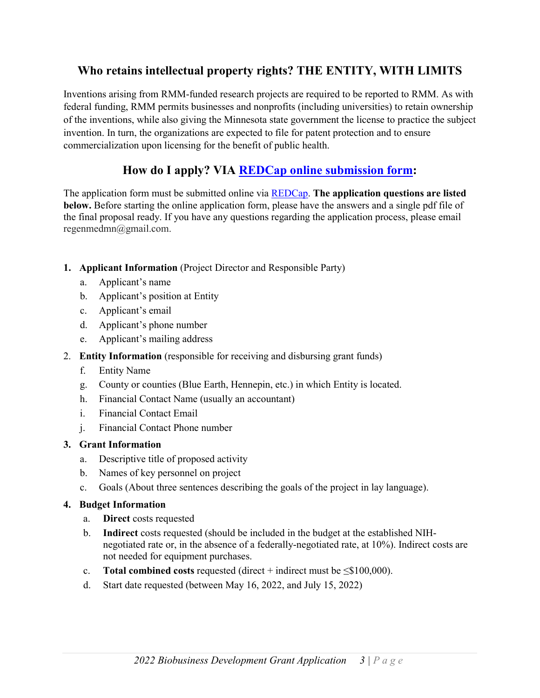# **Who retains intellectual property rights? THE ENTITY, WITH LIMITS**

Inventions arising from RMM-funded research projects are required to be reported to RMM. As with federal funding, RMM permits businesses and nonprofits (including universities) to retain ownership of the inventions, while also giving the Minnesota state government the license to practice the subject invention. In turn, the organizations are expected to file for patent protection and to ensure commercialization upon licensing for the benefit of public health.

# **How do I apply? VIA REDCap [online submission form:](https://redcap.ahc.umn.edu/surveys/?s=A4KND7FYFP7DEDNK)**

The application form must be submitted online via [REDCap](https://redcap.ahc.umn.edu/surveys/?s=A4KND7FYFP7DEDNK). **The application questions are listed below.** Before starting the online application form, please have the answers and a single pdf file of the final proposal ready. If you have any questions regarding the application process, please email regenmedmn@gmail.com.

- **1. Applicant Information** (Project Director and Responsible Party)
	- a. Applicant's name
	- b. Applicant's position at Entity
	- c. Applicant's email
	- d. Applicant's phone number
	- e. Applicant's mailing address
- 2. **Entity Information** (responsible for receiving and disbursing grant funds)
	- f. Entity Name
	- g. County or counties (Blue Earth, Hennepin, etc.) in which Entity is located.
	- h. Financial Contact Name (usually an accountant)
	- i. Financial Contact Email
	- j. Financial Contact Phone number

## **3. Grant Information**

- a. Descriptive title of proposed activity
- b. Names of key personnel on project
- c. Goals (About three sentences describing the goals of the project in lay language).

#### **4. Budget Information**

- a. **Direct** costs requested
- b. **Indirect** costs requested (should be included in the budget at the established NIHnegotiated rate or, in the absence of a federally-negotiated rate, at 10%). Indirect costs are not needed for equipment purchases.
- c. **Total combined costs** requested (direct + indirect must be  $\leq$ \$100,000).
- d. Start date requested (between May 16, 2022, and July 15, 2022)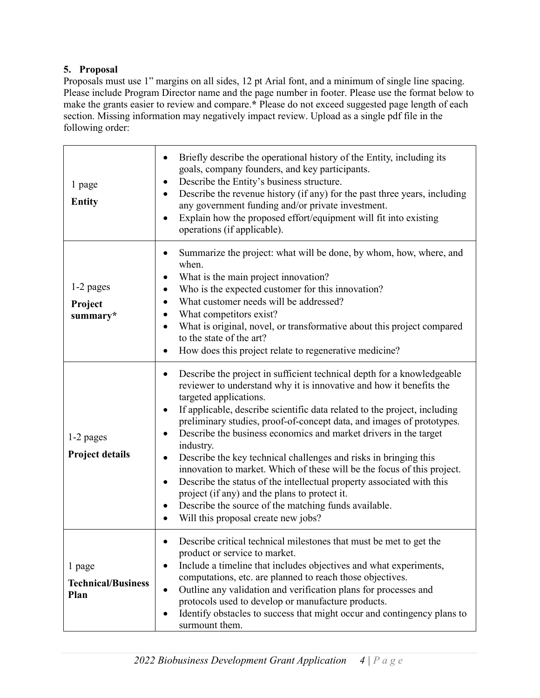## **5. Proposal**

Proposals must use 1" margins on all sides, 12 pt Arial font, and a minimum of single line spacing. Please include Program Director name and the page number in footer. Please use the format below to make the grants easier to review and compare.**\*** Please do not exceed suggested page length of each section. Missing information may negatively impact review. Upload as a single pdf file in the following order:

| 1 page<br><b>Entity</b>                     | Briefly describe the operational history of the Entity, including its<br>$\bullet$<br>goals, company founders, and key participants.<br>Describe the Entity's business structure.<br>٠<br>Describe the revenue history (if any) for the past three years, including<br>$\bullet$<br>any government funding and/or private investment.<br>Explain how the proposed effort/equipment will fit into existing<br>$\bullet$<br>operations (if applicable).                                                                                                                                                                                                                                                                                                                                                                                                                     |  |  |
|---------------------------------------------|---------------------------------------------------------------------------------------------------------------------------------------------------------------------------------------------------------------------------------------------------------------------------------------------------------------------------------------------------------------------------------------------------------------------------------------------------------------------------------------------------------------------------------------------------------------------------------------------------------------------------------------------------------------------------------------------------------------------------------------------------------------------------------------------------------------------------------------------------------------------------|--|--|
| 1-2 pages<br>Project<br>summary*            | Summarize the project: what will be done, by whom, how, where, and<br>$\bullet$<br>when.<br>What is the main project innovation?<br>٠<br>Who is the expected customer for this innovation?<br>$\bullet$<br>What customer needs will be addressed?<br>$\bullet$<br>What competitors exist?<br>$\bullet$<br>What is original, novel, or transformative about this project compared<br>$\bullet$<br>to the state of the art?<br>How does this project relate to regenerative medicine?<br>$\bullet$                                                                                                                                                                                                                                                                                                                                                                          |  |  |
| 1-2 pages<br><b>Project details</b>         | Describe the project in sufficient technical depth for a knowledgeable<br>$\bullet$<br>reviewer to understand why it is innovative and how it benefits the<br>targeted applications.<br>If applicable, describe scientific data related to the project, including<br>$\bullet$<br>preliminary studies, proof-of-concept data, and images of prototypes.<br>Describe the business economics and market drivers in the target<br>$\bullet$<br>industry.<br>Describe the key technical challenges and risks in bringing this<br>$\bullet$<br>innovation to market. Which of these will be the focus of this project.<br>Describe the status of the intellectual property associated with this<br>$\bullet$<br>project (if any) and the plans to protect it.<br>Describe the source of the matching funds available.<br>٠<br>Will this proposal create new jobs?<br>$\bullet$ |  |  |
| 1 page<br><b>Technical/Business</b><br>Plan | Describe critical technical milestones that must be met to get the<br>product or service to market.<br>Include a timeline that includes objectives and what experiments,<br>$\bullet$<br>computations, etc. are planned to reach those objectives.<br>Outline any validation and verification plans for processes and<br>$\bullet$<br>protocols used to develop or manufacture products.<br>Identify obstacles to success that might occur and contingency plans to<br>$\bullet$<br>surmount them.                                                                                                                                                                                                                                                                                                                                                                        |  |  |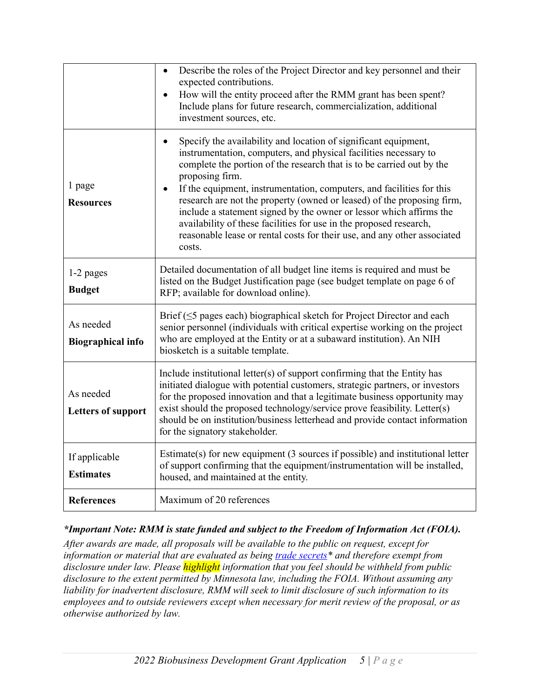|                                        | Describe the roles of the Project Director and key personnel and their<br>$\bullet$<br>expected contributions.<br>How will the entity proceed after the RMM grant has been spent?<br>Include plans for future research, commercialization, additional<br>investment sources, etc.                                                                                                                                                                                                                                                                                                                                                  |  |  |
|----------------------------------------|------------------------------------------------------------------------------------------------------------------------------------------------------------------------------------------------------------------------------------------------------------------------------------------------------------------------------------------------------------------------------------------------------------------------------------------------------------------------------------------------------------------------------------------------------------------------------------------------------------------------------------|--|--|
| 1 page<br><b>Resources</b>             | Specify the availability and location of significant equipment,<br>$\bullet$<br>instrumentation, computers, and physical facilities necessary to<br>complete the portion of the research that is to be carried out by the<br>proposing firm.<br>If the equipment, instrumentation, computers, and facilities for this<br>research are not the property (owned or leased) of the proposing firm,<br>include a statement signed by the owner or lessor which affirms the<br>availability of these facilities for use in the proposed research,<br>reasonable lease or rental costs for their use, and any other associated<br>costs. |  |  |
| 1-2 pages<br><b>Budget</b>             | Detailed documentation of all budget line items is required and must be<br>listed on the Budget Justification page (see budget template on page 6 of<br>RFP; available for download online).                                                                                                                                                                                                                                                                                                                                                                                                                                       |  |  |
| As needed<br><b>Biographical info</b>  | Brief $(\leq 5$ pages each) biographical sketch for Project Director and each<br>senior personnel (individuals with critical expertise working on the project<br>who are employed at the Entity or at a subaward institution). An NIH<br>biosketch is a suitable template.                                                                                                                                                                                                                                                                                                                                                         |  |  |
| As needed<br><b>Letters of support</b> | Include institutional letter(s) of support confirming that the Entity has<br>initiated dialogue with potential customers, strategic partners, or investors<br>for the proposed innovation and that a legitimate business opportunity may<br>exist should the proposed technology/service prove feasibility. Letter(s)<br>should be on institution/business letterhead and provide contact information<br>for the signatory stakeholder.                                                                                                                                                                                            |  |  |
| If applicable<br><b>Estimates</b>      | Estimate(s) for new equipment (3 sources if possible) and institutional letter<br>of support confirming that the equipment/instrumentation will be installed,<br>housed, and maintained at the entity.                                                                                                                                                                                                                                                                                                                                                                                                                             |  |  |
| <b>References</b>                      | Maximum of 20 references                                                                                                                                                                                                                                                                                                                                                                                                                                                                                                                                                                                                           |  |  |

#### *\*Important Note: RMM is state funded and subject to the Freedom of Information Act (FOIA).*

*After awards are made, all proposals will be available to the public on request, except for information or material that are evaluated as being [trade secrets\\*](https://mn.gov/admin/data-practices/data/types/tradesecrets/) and therefore exempt from disclosure under law. Please highlight information that you feel should be withheld from public disclosure to the extent permitted by Minnesota law, including the FOIA. Without assuming any liability for inadvertent disclosure, RMM will seek to limit disclosure of such information to its employees and to outside reviewers except when necessary for merit review of the proposal, or as otherwise authorized by law.*